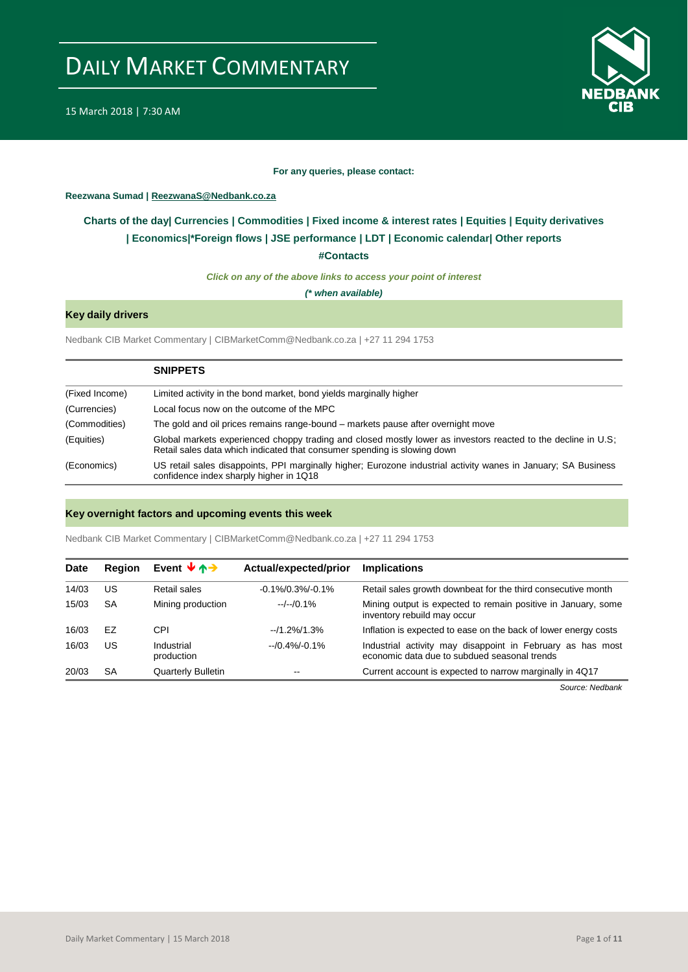

#### **For any queries, please contact:**

#### <span id="page-0-0"></span>**Reezwana Sumad | ReezwanaS@Nedbank.co.za**

### **Charts of the day| [Currencies](#page-2-0) [| Commodities](#page-3-0) | [Fixed income & interest rates](#page-1-0) | [Equities](#page-4-0) | Equity derivatives | [Economics|\\*](#page-7-0)Foreign flows [| JSE performance](#page-4-1) | [LDT](#page-5-0) | [Economic calendar|](#page-8-0) Other reports**

**[#Contacts](#page-9-0)**

*Click on any of the above links to access your point of interest*

*(\* when available)*

### **Key daily drivers**

Nedbank CIB Market Commentary | CIBMarketComm@Nedbank.co.za | +27 11 294 1753

|                | <b>SNIPPETS</b>                                                                                                                                                                           |
|----------------|-------------------------------------------------------------------------------------------------------------------------------------------------------------------------------------------|
| (Fixed Income) | Limited activity in the bond market, bond yields marginally higher                                                                                                                        |
| (Currencies)   | Local focus now on the outcome of the MPC                                                                                                                                                 |
| (Commodities)  | The gold and oil prices remains range-bound – markets pause after overnight move                                                                                                          |
| (Equities)     | Global markets experienced choppy trading and closed mostly lower as investors reacted to the decline in U.S;<br>Retail sales data which indicated that consumer spending is slowing down |
| (Economics)    | US retail sales disappoints, PPI marginally higher; Eurozone industrial activity wanes in January; SA Business<br>confidence index sharply higher in 1Q18                                 |

#### **Key overnight factors and upcoming events this week**

Nedbank CIB Market Commentary | CIBMarketComm@Nedbank.co.za | +27 11 294 1753

| <b>Date</b> | <b>Region</b> | Event $\forall \uparrow \rightarrow$ | Actual/expected/prior | <b>Implications</b>                                                                                        |
|-------------|---------------|--------------------------------------|-----------------------|------------------------------------------------------------------------------------------------------------|
| 14/03       | US            | Retail sales                         | $-0.1\%/0.3\%/0.1\%$  | Retail sales growth downbeat for the third consecutive month                                               |
| 15/03       | <b>SA</b>     | Mining production                    | $-/-/0.1%$            | Mining output is expected to remain positive in January, some<br>inventory rebuild may occur               |
| 16/03       | EZ            | CPI                                  | $-11.2\%/1.3\%$       | Inflation is expected to ease on the back of lower energy costs                                            |
| 16/03       | US            | Industrial<br>production             | $-10.4\% - 0.1\%$     | Industrial activity may disappoint in February as has most<br>economic data due to subdued seasonal trends |
| 20/03       | <b>SA</b>     | <b>Quarterly Bulletin</b>            | $- -$                 | Current account is expected to narrow marginally in 4Q17                                                   |

*Source: Nedbank*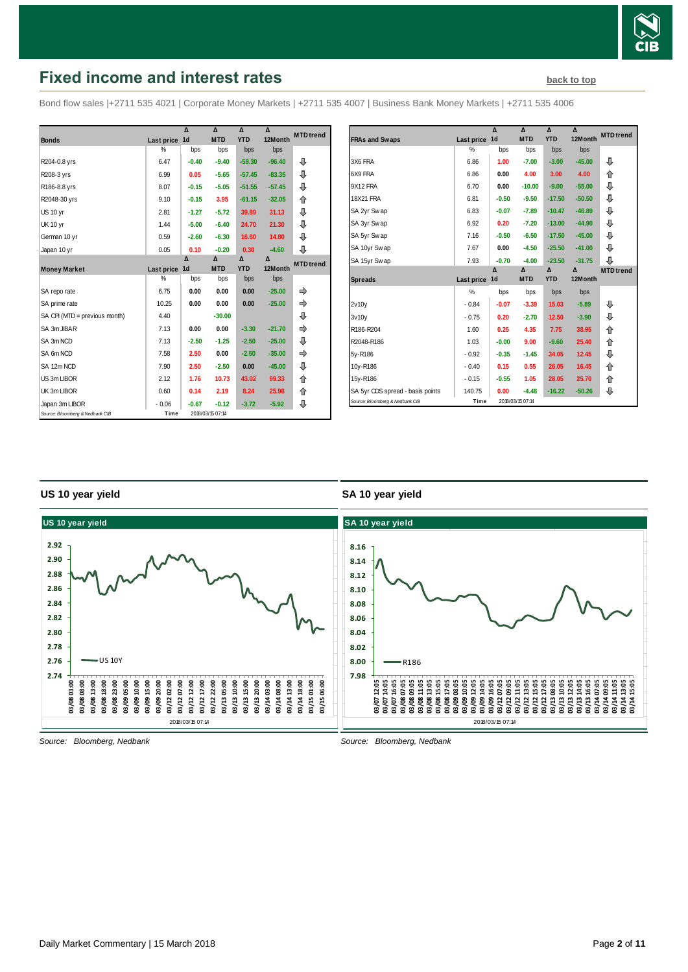

# <span id="page-1-0"></span>**Fixed income and interest rates [back to top](#page-0-0) back to top**

Bond flow sales |+2711 535 4021 | Corporate Money Markets | +2711 535 4007 | Business Bank Money Markets | +2711 535 4006

|                                 |               | Δ              | Δ                | Δ          | Δ        | <b>MTD</b> trend |
|---------------------------------|---------------|----------------|------------------|------------|----------|------------------|
| <b>Bonds</b>                    | Last price    | 1 <sub>d</sub> | <b>MTD</b>       | <b>YTD</b> | 12Month  |                  |
|                                 | %             | bps            | bps              | bps        | bps      |                  |
| R204-0.8 yrs                    | 6.47          | $-0.40$        | $-9.40$          | $-59.30$   | $-96.40$ | ⊕                |
| R208-3 yrs                      | 6.99          | 0.05           | $-5.65$          | $-57.45$   | $-83.35$ | ⊕                |
| R186-8.8 yrs                    | 8.07          | $-0.15$        | $-5.05$          | $-51.55$   | $-57.45$ | ⊕                |
| R2048-30 yrs                    | 9.10          | $-0.15$        | 3.95             | $-61.15$   | $-32.05$ | ⇑                |
| <b>US 10 yr</b>                 | 2.81          | $-1.27$        | $-5.72$          | 39.89      | 31.13    | ⊕                |
| <b>UK 10 yr</b>                 | 1.44          | $-5.00$        | $-6.40$          | 24.70      | 21.30    | ⊕                |
| German 10 yr                    | 0.59          | $-2.60$        | $-6.30$          | 16.60      | 14.80    | ⊕                |
| Japan 10 yr                     | 0.05          | 0.10           | $-0.20$          | 0.30       | $-4.60$  | ⊕                |
|                                 |               | Δ              | Δ                | Δ          | Δ        | <b>MTD</b> trend |
| <b>Money Market</b>             | Last price    | 1 <sub>d</sub> | <b>MTD</b>       | <b>YTD</b> | 12Month  |                  |
|                                 | $\frac{0}{0}$ | bps            | bps              | bps        | bps      |                  |
| SA repo rate                    | 6.75          | 0.00           | 0.00             | 0.00       | $-25.00$ |                  |
| SA prime rate                   | 10.25         | 0.00           | 0.00             | 0.00       | $-25.00$ |                  |
| SA CPI (MTD = previous month)   | 4.40          |                | $-30.00$         |            |          | ⊕                |
| SA 3m JIBAR                     | 7.13          | 0.00           | 0.00             | $-3.30$    | $-21.70$ |                  |
| SA 3m NCD                       | 7.13          | $-2.50$        | $-1.25$          | $-2.50$    | $-25.00$ | ⊕                |
| SA 6m NCD                       | 7.58          | 2.50           | 0.00             | $-2.50$    | $-35.00$ | ⇛                |
| SA 12m NCD                      | 7.90          | 2.50           | $-2.50$          | 0.00       | $-45.00$ | ⊕                |
| US 3m LIBOR                     | 2.12          | 1.76           | 10.73            | 43.02      | 99.33    | ⇑                |
| UK 3m LIBOR                     | 0.60          | 0.14           | 2.19             | 8.24       | 25.98    | ⇑                |
| Japan 3m LIBOR                  | $-0.06$       | $-0.67$        | $-0.12$          | $-3.72$    | $-5.92$  | ⇩                |
| Source: Bloomberg & Nedbank CIB | Time          |                | 2018/03/15 07:14 |            |          |                  |

|                                  |            | Δ              | Δ                | Δ          | Δ        | <b>MTD</b> trend |
|----------------------------------|------------|----------------|------------------|------------|----------|------------------|
| <b>FRAs and Swaps</b>            | Last price | 1 <sub>d</sub> | <b>MTD</b>       | <b>YTD</b> | 12Month  |                  |
|                                  | %          | bps            | bps              | bps        | bps      |                  |
| 3X6 FRA                          | 6.86       | 1.00           | $-7.00$          | $-3.00$    | $-45.00$ | ⇩                |
| 6X9 FRA                          | 6.86       | 0.00           | 4.00             | 3.00       | 4.00     | ⇑                |
| 9X12 FRA                         | 6.70       | 0.00           | $-10.00$         | $-9.00$    | $-55.00$ | ⊕                |
| 18X21 FRA                        | 6.81       | $-0.50$        | $-9.50$          | $-17.50$   | $-50.50$ | ⊕                |
| SA 2yr Swap                      | 6.83       | $-0.07$        | $-7.89$          | $-10.47$   | $-46.89$ | ⊕                |
| SA 3yr Swap                      | 6.92       | 0.20           | $-7.20$          | $-13.00$   | $-44.90$ | ⊕                |
| SA 5yr Swap                      | 7.16       | $-0.50$        | $-6.50$          | $-17.50$   | $-45.00$ | ⊕                |
| SA 10yr Swap                     | 7.67       | 0.00           | $-4.50$          | $-25.50$   | $-41.00$ | ⊕                |
| SA 15yr Swap                     | 7.93       | $-0.70$        | $-4.00$          | $-23.50$   | $-31.75$ | ⊕                |
|                                  |            | Δ              | Δ                | Δ          | Δ        | <b>MTD</b> trend |
| <b>Spreads</b>                   | Last price | 1 <sub>d</sub> | <b>MTD</b>       | <b>YTD</b> | 12Month  |                  |
|                                  | %          | bps            | bps              | bps        | bps      |                  |
| 2v10v                            | $-0.84$    | $-0.07$        | $-3.39$          | 15.03      | $-5.89$  | ⊕                |
| 3v10v                            | $-0.75$    | 0.20           | $-2.70$          | 12.50      | $-3.90$  | ⊕                |
| R186-R204                        | 1.60       | 0.25           | 4.35             | 7.75       | 38.95    | ⇑                |
| R2048-R186                       | 1.03       | $-0.00$        | 9.00             | $-9.60$    | 25.40    | ⇑                |
| 5y-R186                          | $-0.92$    | $-0.35$        | $-1.45$          | 34.05      | 12.45    | ⊕                |
| 10y-R186                         | $-0.40$    | 0.15           | 0.55             | 26.05      | 16.45    | 企                |
| 15y-R186                         | $-0.15$    | $-0.55$        | 1.05             | 28.05      | 25.70    | ⇑                |
| SA 5yr CDS spread - basis points | 140.75     | 0.00           | $-4.48$          | $-16.22$   | $-50.26$ | ⊕                |
| Source: Bloomberg & Nedbank CIB  | Time       |                | 2018/03/15 07:14 |            |          |                  |

#### **US 10 year yield**

#### **SA 10 year yield**



*Source: Bloomberg, Nedbank*

*Source: Bloomberg, Nedbank*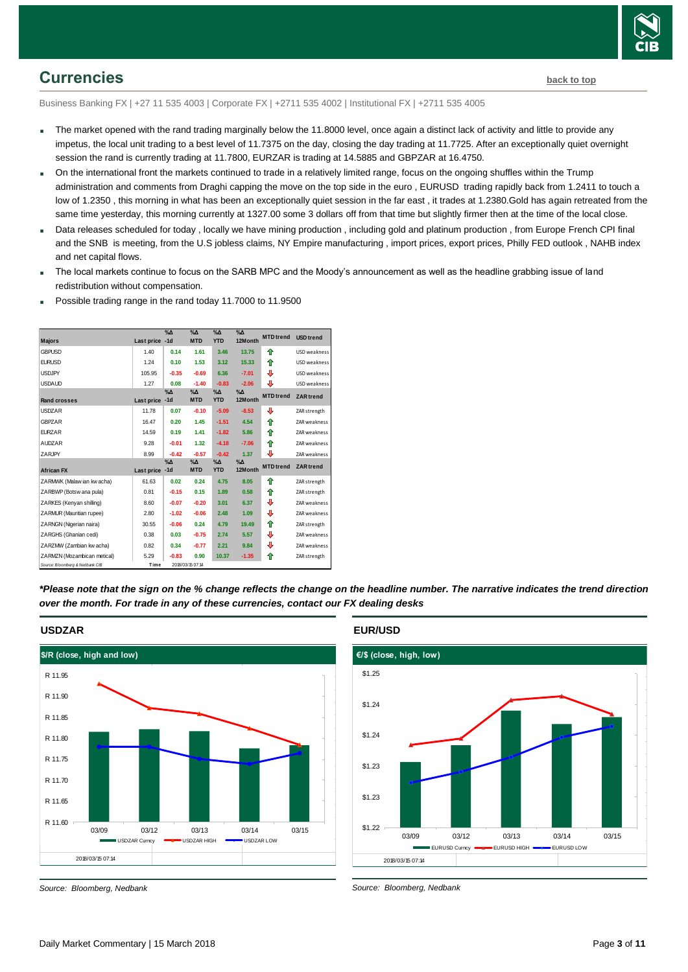

### <span id="page-2-0"></span>**Currencies [back to top](#page-0-0)**

Business Banking FX | +27 11 535 4003 | Corporate FX | +2711 535 4002 | Institutional FX | +2711 535 4005

- The market opened with the rand trading marginally below the 11.8000 level, once again a distinct lack of activity and little to provide any impetus, the local unit trading to a best level of 11.7375 on the day, closing the day trading at 11.7725. After an exceptionally quiet overnight session the rand is currently trading at 11.7800, EURZAR is trading at 14.5885 and GBPZAR at 16.4750.
- On the international front the markets continued to trade in a relatively limited range, focus on the ongoing shuffles within the Trump administration and comments from Draghi capping the move on the top side in the euro , EURUSD trading rapidly back from 1.2411 to touch a low of 1.2350, this morning in what has been an exceptionally quiet session in the far east, it trades at 1.2380.Gold has again retreated from the same time yesterday, this morning currently at 1327.00 some 3 dollars off from that time but slightly firmer then at the time of the local close.
- Data releases scheduled for today , locally we have mining production , including gold and platinum production , from Europe French CPI final and the SNB is meeting, from the U.S jobless claims, NY Empire manufacturing , import prices, export prices, Philly FED outlook , NAHB index and net capital flows.
- The local markets continue to focus on the SARB MPC and the Moody's announcement as well as the headline grabbing issue of land redistribution without compensation.
- Possible trading range in the rand today 11.7000 to 11.9500

| <b>Majors</b>                   | Last price | $\%$ $\Delta$<br>$-1d$ | $\%$ $\Delta$<br><b>MTD</b> | $% \Delta$<br><b>YTD</b>    | $\%$ $\Delta$<br>12Month | <b>MTD</b> trend | <b>USD</b> trend    |
|---------------------------------|------------|------------------------|-----------------------------|-----------------------------|--------------------------|------------------|---------------------|
| <b>GBPUSD</b>                   | 1.40       | 0.14                   | 1.61                        | 3.46                        | 13.75                    | ♠                | USD weakness        |
| <b>FURUSD</b>                   | 1.24       | 0.10                   | 1.53                        | 3.12                        | 15.33                    | ♠                | USD weakness        |
| <b>USDJPY</b>                   | 105.95     | $-0.35$                | $-0.69$                     | 6.36                        | $-7.01$                  | ⊕                | USD weakness        |
| <b>USDAUD</b>                   | 1.27       | 0.08                   | $-1.40$                     | $-0.83$                     | $-2.06$                  | ⊕                | USD weakness        |
| <b>Rand crosses</b>             | Last price | $\%$ $\Delta$<br>$-1d$ | $\%$ $\Delta$<br><b>MTD</b> | $\%$ $\Delta$<br><b>YTD</b> | $\%$ $\Delta$<br>12Month | <b>MTD</b> trend | <b>ZAR</b> trend    |
| <b>USDZAR</b>                   | 11.78      | 0.07                   | $-0.10$                     | $-5.09$                     | $-8.53$                  | ⊕                | ZAR strength        |
| <b>GBPZAR</b>                   | 16.47      | 0.20                   | 1.45                        | $-1.51$                     | 4.54                     | ♠                | <b>ZAR</b> weakness |
| <b>EURZAR</b>                   | 14.59      | 0.19                   | 1.41                        | $-1.82$                     | 5.86                     | ♠                | <b>ZAR</b> weakness |
| <b>AUDZAR</b>                   | 9.28       | $-0.01$                | 1.32                        | $-4.18$                     | $-7.06$                  | 合                | ZAR weakness        |
| ZARJPY                          | 8.99       | $-0.42$                | $-0.57$                     | $-0.42$                     | 1.37                     | ⊕                | ZAR weakness        |
| <b>African FX</b>               | Last price | $\%$ $\Delta$<br>$-1d$ | $\%$ $\Delta$<br><b>MTD</b> | $\%$ $\Delta$<br><b>YTD</b> | $\% \Delta$<br>12Month   | <b>MTD</b> trend | <b>ZAR</b> trend    |
| ZARMWK (Malaw ian kw acha)      | 61.63      | 0.02                   | 0.24                        | 4.75                        | 8.05                     | ♠                | ZAR strength        |
| ZARBWP (Botswana pula)          | 0.81       | $-0.15$                | 0.15                        | 1.89                        | 0.58                     | ♠                | ZAR strength        |
| ZARKES (Kenyan shilling)        | 8.60       | $-0.07$                | $-0.20$                     | 3.01                        | 6.37                     | ⊕                | <b>ZAR</b> weakness |
| ZARMUR (Mauritian rupee)        | 2.80       | $-1.02$                | $-0.06$                     | 2.48                        | 1.09                     | ⇩                | ZAR weakness        |
| ZARNGN (Nigerian naira)         | 30.55      | $-0.06$                | 0.24                        | 4.79                        | 19.49                    | ♠                | ZAR strength        |
| ZARGHS (Ghanian cedi)           | 0.38       | 0.03                   | $-0.75$                     | 2.74                        | 5.57                     | ⊕                | ZAR weakness        |
| ZARZMW (Zambian kw acha)        | 0.82       | 0.34                   | $-0.77$                     | 2.21                        | 9.84                     | ⇩                | ZAR weakness        |
| ZARMZN (Mozambican metical)     | 5.29       | $-0.83$                | 0.90                        | 10.37                       | $-1.35$                  | ♠                | ZAR strength        |
| Source: Bloomberg & Nedbank CIB | Time       |                        | 2018/03/15 07:14            |                             |                          |                  |                     |

*\*Please note that the sign on the % change reflects the change on the headline number. The narrative indicates the trend direction over the month. For trade in any of these currencies, contact our FX dealing desks*



#### **USDZAR**

*Source: Bloomberg, Nedbank*

#### **EUR/USD**



*Source: Bloomberg, Nedbank*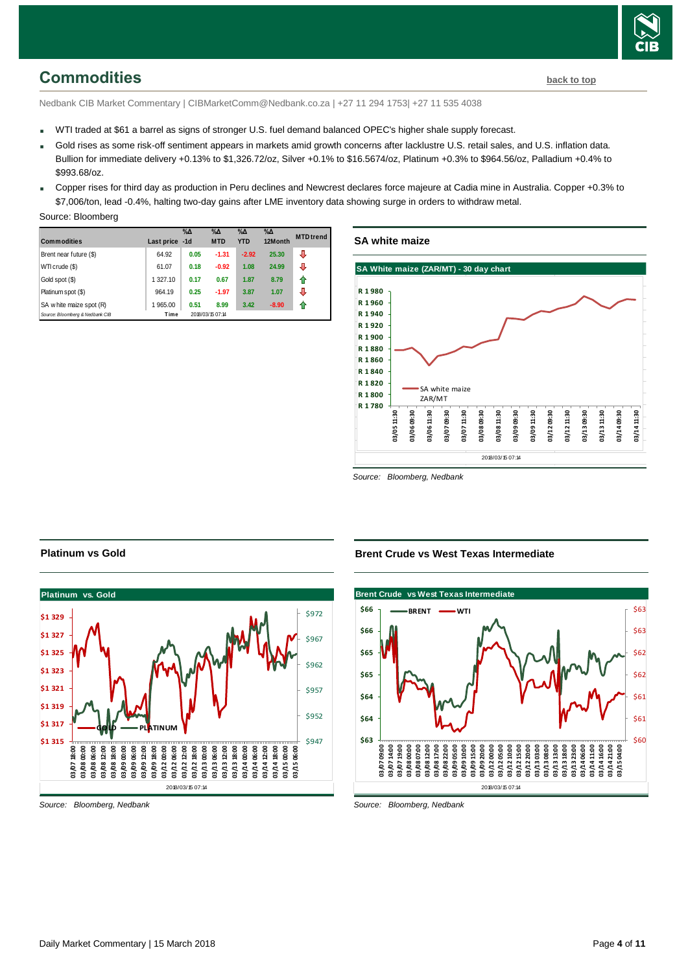

# <span id="page-3-0"></span>**Commodities [back to top](#page-0-0)**

Nedbank CIB Market Commentary | CIBMarketComm@Nedbank.co.za | +27 11 294 1753| +27 11 535 4038

- WTI traded at \$61 a barrel as signs of stronger U.S. fuel demand balanced OPEC's higher shale supply forecast.
- Gold rises as some risk-off sentiment appears in markets amid growth concerns after lacklustre U.S. retail sales, and U.S. inflation data. Bullion for immediate delivery +0.13% to \$1,326.72/oz, Silver +0.1% to \$16.5674/oz, Platinum +0.3% to \$964.56/oz, Palladium +0.4% to \$993.68/oz.
- Copper rises for third day as production in Peru declines and Newcrest declares force majeure at Cadia mine in Australia. Copper +0.3% to \$7,006/ton, lead -0.4%, halting two-day gains after LME inventory data showing surge in orders to withdraw metal.

|  | Source: Bloomberg |
|--|-------------------|
|--|-------------------|

| <b>Commodities</b>              | Last price -1d | $\%$ $\Delta$ | $\%$ $\Delta$<br><b>MTD</b> | $\%$ $\Delta$<br><b>YTD</b> | $\%$ $\Delta$<br>12Month | <b>MTD</b> trend |
|---------------------------------|----------------|---------------|-----------------------------|-----------------------------|--------------------------|------------------|
| Brent near future (\$)          | 64.92          | 0.05          | $-1.31$                     | $-2.92$                     | 25.30                    | ⊕                |
| WTI crude (\$)                  | 61.07          | 0.18          | $-0.92$                     | 1.08                        | 24.99                    | ⊕                |
| Gold spot (\$)                  | 1 327.10       | 0.17          | 0.67                        | 1.87                        | 8.79                     | ⇑                |
| Platinum spot (\$)              | 964.19         | 0.25          | $-1.97$                     | 3.87                        | 1.07                     | ⊕                |
| SA w hite maize spot (R)        | 1 965.00       | 0.51          | 8.99                        | 3.42                        | $-8.90$                  | ⇑                |
| Source: Bloomberg & Nedbank CIB | Time           |               | 2018/03/15 07:14            |                             |                          |                  |

### **SA white maize**



*Source: Bloomberg, Nedbank*



#### *Source: Bloomberg, Nedbank*

**Platinum vs Gold**

**Brent Crude vs West Texas Intermediate**



*Source: Bloomberg, Nedbank*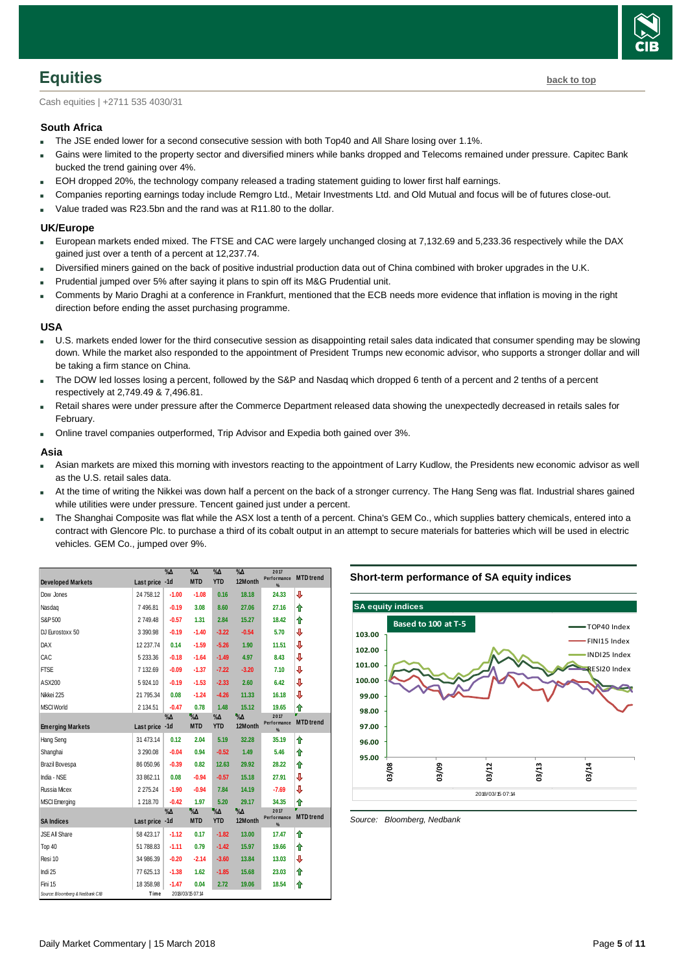

<span id="page-4-0"></span>Cash equities | +2711 535 4030/31

#### **South Africa**

- The JSE ended lower for a second consecutive session with both Top40 and All Share losing over 1.1%.
- Gains were limited to the property sector and diversified miners while banks dropped and Telecoms remained under pressure. Capitec Bank bucked the trend gaining over 4%.
- EOH dropped 20%, the technology company released a trading statement guiding to lower first half earnings.
- Companies reporting earnings today include Remgro Ltd., Metair Investments Ltd. and Old Mutual and focus will be of futures close-out.
- Value traded was R23.5bn and the rand was at R11.80 to the dollar.

#### **UK/Europe**

- European markets ended mixed. The FTSE and CAC were largely unchanged closing at 7,132.69 and 5,233.36 respectively while the DAX gained just over a tenth of a percent at 12,237.74.
- Diversified miners gained on the back of positive industrial production data out of China combined with broker upgrades in the U.K.
- Prudential jumped over 5% after saying it plans to spin off its M&G Prudential unit.
- Comments by Mario Draghi at a conference in Frankfurt, mentioned that the ECB needs more evidence that inflation is moving in the right direction before ending the asset purchasing programme.

#### **USA**

- U.S. markets ended lower for the third consecutive session as disappointing retail sales data indicated that consumer spending may be slowing down. While the market also responded to the appointment of President Trumps new economic advisor, who supports a stronger dollar and will be taking a firm stance on China.
- The DOW led losses losing a percent, followed by the S&P and Nasdaq which dropped 6 tenth of a percent and 2 tenths of a percent respectively at 2,749.49 & 7,496.81.
- Retail shares were under pressure after the Commerce Department released data showing the unexpectedly decreased in retails sales for February.
- Online travel companies outperformed, Trip Advisor and Expedia both gained over 3%.

#### **Asia**

- Asian markets are mixed this morning with investors reacting to the appointment of Larry Kudlow, the Presidents new economic advisor as well as the U.S. retail sales data.
- At the time of writing the Nikkei was down half a percent on the back of a stronger currency. The Hang Seng was flat. Industrial shares gained while utilities were under pressure. Tencent gained just under a percent.
- The Shanghai Composite was flat while the ASX lost a tenth of a percent. China's GEM Co., which supplies battery chemicals, entered into a contract with Glencore Plc. to purchase a third of its cobalt output in an attempt to secure materials for batteries which will be used in electric vehicles. GEM Co., jumped over 9%.

| <b>Developed Markets</b>        | Last price -1d | $\%$ $\Delta$ | $\%$ $\Delta$<br><b>MTD</b>       | $\%$ $\Delta$<br><b>YTD</b> | $\%$ $\Delta$<br>12Month   | 2017<br>Performance      | <b>MTD</b> trend |
|---------------------------------|----------------|---------------|-----------------------------------|-----------------------------|----------------------------|--------------------------|------------------|
| Dow Jones                       | 24 758.12      | $-1.00$       | $-1.08$                           | 0.16                        | 18.18                      | %<br>24.33               | ⇩                |
|                                 |                |               |                                   |                             |                            |                          |                  |
| Nasdag                          | 7496.81        | $-0.19$       | 3.08                              | 8.60                        | 27.06                      | 27.16                    | ♠                |
| S&P 500                         | 2749.48        | $-0.57$       | 1.31                              | 2.84                        | 15.27                      | 18.42                    | ↟                |
| DJ Eurostoxx 50                 | 3 3 9 0.98     | $-0.19$       | $-1.40$                           | $-3.22$                     | $-0.54$                    | 5.70                     | ⇩                |
| <b>DAX</b>                      | 12 237.74      | 0.14          | $-1.59$                           | $-5.26$                     | 1.90                       | 11.51                    | ⇩                |
| CAC                             | 5 233.36       | $-0.18$       | $-1.64$                           | $-1.49$                     | 4.97                       | 8.43                     | ⇩                |
| <b>FTSE</b>                     | 7 132.69       | $-0.09$       | $-1.37$                           | $-7.22$                     | $-3.20$                    | 7.10                     | ⇩                |
| ASX200                          | 5924.10        | $-0.19$       | $-1.53$                           | $-2.33$                     | 2.60                       | 6.42                     | ⇩                |
| Nikkei 225                      | 21 795.34      | 0.08          | $-1.24$                           | $-4.26$                     | 11.33                      | 16.18                    | ⇩                |
| <b>MSCI World</b>               | 2 134.51       | $-0.47$       | 0.78                              | 1.48                        | 15.12                      | 19.65                    | ⇑                |
| <b>Emerging Markets</b>         | Last price -1d | %Δ            | $\sqrt{\mathsf{A}}$<br><b>MTD</b> | %Δ<br><b>YTD</b>            | $\sqrt{\theta}$<br>12Month | 2017<br>Performance<br>% | <b>MTD</b> trend |
| Hang Seng                       | 31 473.14      | 0.12          | 2.04                              | 5.19                        | 32.28                      | 35.19                    | ↟                |
| Shanghai                        | 3 2 9 0.08     | $-0.04$       | 0.94                              | $-0.52$                     | 1.49                       | 5.46                     | ⇑                |
| Brazil Bovespa                  | 86 050.96      | $-0.39$       | 0.82                              | 12.63                       | 29.92                      | 28.22                    | ♠                |
| India - NSE                     | 33 862.11      | 0.08          | $-0.94$                           | $-0.57$                     | 15.18                      | 27.91                    | ⇩                |
| Russia Micex                    | 2 2 7 5 . 2 4  | $-1.90$       | $-0.94$                           | 7.84                        | 14.19                      | $-7.69$                  | J                |
| <b>MSCI</b> Emerging            | 1218.70        | $-0.42$       | 1.97                              | 5.20                        | 29.17                      | 34.35                    | ⇑                |
|                                 |                | %Δ            | $\sqrt{\sqrt{6}}$                 | $\sqrt{6}$                  | $\Delta_0$                 | 2017<br>Performance      | <b>MTD</b> trend |
| <b>SA Indices</b>               | Last price -1d |               | <b>MTD</b>                        | <b>YTD</b>                  | 12Month                    | %                        |                  |
| JSE All Share                   | 58 423.17      | $-1.12$       | 0.17                              | $-1.82$                     | 13.00                      | 17.47                    | ⇑                |
| Top 40                          | 51 788.83      | $-1.11$       | 0.79                              | $-1.42$                     | 15.97                      | 19.66                    | ↟                |
| Resi 10                         | 34 986.39      | $-0.20$       | $-2.14$                           | $-3.60$                     | 13.84                      | 13.03                    | J                |
| Indi 25                         | 77 625.13      | $-1.38$       | 1.62                              | $-1.85$                     | 15.68                      | 23.03                    | ↟                |
| Fini 15                         | 18 358.98      | $-1.47$       | 0.04                              | 2.72                        | 19.06                      | 18.54                    | ⇑                |
| Source: Bloomberg & Nedbank CIB | Time           |               | 2018/03/15 07:14                  |                             |                            |                          |                  |

#### **Short-term performance of SA equity indices**



<span id="page-4-1"></span>*Source: Bloomberg, Nedbank*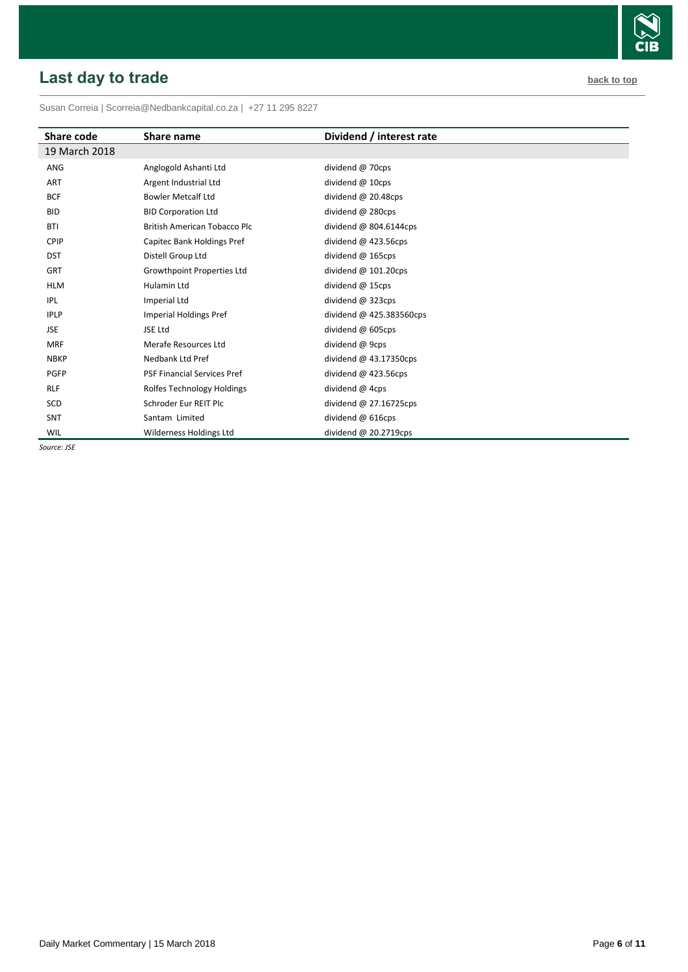# <span id="page-5-0"></span>**Last day to trade back to the contract of the contract of the contract of the contract of the contract of the contract of the contract of the contract of the contract of the contract of the contract of the contract of t**

Susan Correia [| Scorreia@Nedbankcapital.co.za](mailto:Scorreia@Nedbankcapital.co.za) | +27 11 295 8227

| Share code    | Share name                          | Dividend / interest rate  |
|---------------|-------------------------------------|---------------------------|
| 19 March 2018 |                                     |                           |
| ANG           | Anglogold Ashanti Ltd               | dividend @ 70cps          |
| <b>ART</b>    | Argent Industrial Ltd               | dividend @ 10cps          |
| <b>BCF</b>    | <b>Bowler Metcalf Ltd</b>           | dividend $@$ 20.48cps     |
| <b>BID</b>    | <b>BID Corporation Ltd</b>          | dividend @ 280cps         |
| <b>BTI</b>    | <b>British American Tobacco Plc</b> | dividend @ $804.6144$ cps |
| CPIP          | Capitec Bank Holdings Pref          | dividend $@$ 423.56cps    |
| <b>DST</b>    | Distell Group Ltd                   | dividend $@$ 165cps       |
| <b>GRT</b>    | <b>Growthpoint Properties Ltd</b>   | dividend $@$ 101.20cps    |
| <b>HLM</b>    | Hulamin Ltd                         | dividend @ 15cps          |
| IPL           | Imperial Ltd                        | dividend @ 323cps         |
| <b>IPLP</b>   | Imperial Holdings Pref              | dividend @ 425.383560cps  |
| <b>JSE</b>    | JSE Ltd                             | dividend @ 605cps         |
| <b>MRF</b>    | Merafe Resources Ltd                | dividend @ 9cps           |
| <b>NBKP</b>   | Nedbank Ltd Pref                    | dividend $@$ 43.17350cps  |
| <b>PGFP</b>   | <b>PSF Financial Services Pref</b>  | dividend $@$ 423.56cps    |
| <b>RLF</b>    | Rolfes Technology Holdings          | dividend @ 4cps           |
| SCD           | Schroder Eur REIT Plc               | dividend @ 27.16725cps    |
| <b>SNT</b>    | Santam Limited                      | dividend @ 616cps         |
| WIL           | Wilderness Holdings Ltd             | dividend $@$ 20.2719cps   |

*Source: JSE*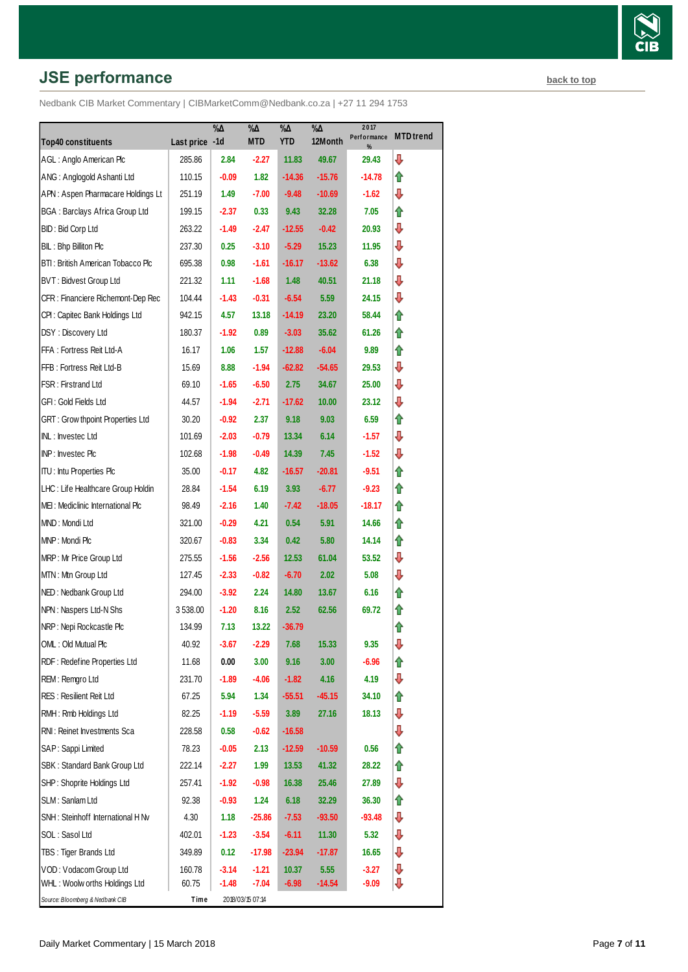# **JSE performance [back to top](#page-0-0) back to top**

|                                         |                | $\% \Delta$ | %Д               | $\% \Delta$ | $\sqrt[9]{6\Delta}$ | 2017             | <b>MTD</b> trend |
|-----------------------------------------|----------------|-------------|------------------|-------------|---------------------|------------------|------------------|
| <b>Top40 constituents</b>               | Last price -1d |             | <b>MTD</b>       | <b>YTD</b>  | 12Month             | Performance<br>% |                  |
| AGL: Anglo American Plc                 | 285.86         | 2.84        | $-2.27$          | 11.83       | 49.67               | 29.43            | ⇩                |
| ANG: Anglogold Ashanti Ltd              | 110.15         | $-0.09$     | 1.82             | $-14.36$    | $-15.76$            | -14.78           | ⇑                |
| APN: Aspen Pharmacare Holdings Lt       | 251.19         | 1.49        | $-7.00$          | $-9.48$     | $-10.69$            | -1.62            | ⇩                |
| <b>BGA: Barclays Africa Group Ltd</b>   | 199.15         | $-2.37$     | 0.33             | 9.43        | 32.28               | 7.05             | ⇑                |
| BID: Bid Corp Ltd                       | 263.22         | -1.49       | $-2.47$          | $-12.55$    | $-0.42$             | 20.93            | ⇩                |
| BIL: Bhp Billiton Plc                   | 237.30         | 0.25        | $-3.10$          | $-5.29$     | 15.23               | 11.95            | ⇩                |
| BTI: British American Tobacco Plc       | 695.38         | 0.98        | $-1.61$          | $-16.17$    | $-13.62$            | 6.38             | ⇩                |
| BVT: Bidvest Group Ltd                  | 221.32         | 1.11        | $-1.68$          | 1.48        | 40.51               | 21.18            | ⇩                |
| CFR : Financiere Richemont-Dep Rec      | 104.44         | $-1.43$     | $-0.31$          | $-6.54$     | 5.59                | 24.15            | ⇩                |
| CPI : Capitec Bank Holdings Ltd         | 942.15         | 4.57        | 13.18            | $-14.19$    | 23.20               | 58.44            | ⇑                |
| DSY: Discovery Ltd                      | 180.37         | $-1.92$     | 0.89             | $-3.03$     | 35.62               | 61.26            | ⇑                |
| FFA: Fortress Reit Ltd-A                | 16.17          | 1.06        | 1.57             | $-12.88$    | $-6.04$             | 9.89             | ⇑                |
| FFB: Fortress Reit Ltd-B                | 15.69          | 8.88        | $-1.94$          | $-62.82$    | -54.65              | 29.53            | ⇩                |
| FSR: Firstrand Ltd                      | 69.10          | $-1.65$     | $-6.50$          | 2.75        | 34.67               | 25.00            | ⇩                |
| GFI : Gold Fields Ltd                   | 44.57          | $-1.94$     | $-2.71$          | $-17.62$    | 10.00               | 23.12            | ⇩                |
| <b>GRT: Grow thpoint Properties Ltd</b> | 30.20          | $-0.92$     | 2.37             | 9.18        | 9.03                | 6.59             | ⇑                |
| INL: Investec Ltd                       | 101.69         | $-2.03$     | $-0.79$          | 13.34       | 6.14                | $-1.57$          | ⇩                |
| INP: Investec Plc                       | 102.68         | $-1.98$     | $-0.49$          | 14.39       | 7.45                | -1.52            | ⇩                |
| <b>ITU: Intu Properties Plc</b>         | 35.00          | $-0.17$     | 4.82             | $-16.57$    | $-20.81$            | $-9.51$          | ⇑                |
| LHC: Life Healthcare Group Holdin       | 28.84          | $-1.54$     | 6.19             | 3.93        | $-6.77$             | $-9.23$          | ⇑                |
| MEI: Mediclinic International Plc       | 98.49          | $-2.16$     | 1.40             | $-7.42$     | $-18.05$            | -18.17           | ⇑                |
| MND: Mondi Ltd                          | 321.00         | $-0.29$     | 4.21             | 0.54        | 5.91                | 14.66            | ⇑                |
| MNP: Mondi Plc                          | 320.67         | $-0.83$     | 3.34             | 0.42        | 5.80                | 14.14            | ⇑                |
| MRP: Mr Price Group Ltd                 | 275.55         | $-1.56$     | $-2.56$          | 12.53       | 61.04               | 53.52            | ⇩                |
| MTN: Mtn Group Ltd                      | 127.45         | $-2.33$     | $-0.82$          | $-6.70$     | 2.02                | 5.08             | ⇩                |
| NED: Nedbank Group Ltd                  | 294.00         | $-3.92$     | 2.24             | 14.80       | 13.67               | 6.16             | ⇑                |
| NPN: Naspers Ltd-N Shs                  | 3 538.00       | $-1.20$     | 8.16             | 2.52        | 62.56               | 69.72            | ⇑                |
| NRP: Nepi Rockcastle Plc                | 134.99         | 7.13        | 13.22            | $-36.79$    |                     |                  | ⇑                |
| OML: Old Mutual Plc                     | 40.92          | $-3.67$     | $-2.29$          | 7.68        | 15.33               | 9.35             | ⇩                |
| RDF: Redefine Properties Ltd            | 11.68          | 0.00        | 3.00             | 9.16        | 3.00                | $-6.96$          | ⇮                |
| REM: Remgro Ltd                         | 231.70         | $-1.89$     | -4.06            | $-1.82$     | 4.16                | 4.19             | ⊕                |
| <b>RES: Resilient Reit Ltd</b>          | 67.25          | 5.94        | 1.34             | $-55.51$    | $-45.15$            | 34.10            | ⇑                |
| RMH: Rmb Holdings Ltd                   | 82.25          | $-1.19$     | $-5.59$          | 3.89        | 27.16               | 18.13            | ₽                |
| RNI: Reinet Investments Sca             | 228.58         | 0.58        | $-0.62$          | $-16.58$    |                     |                  | ⇩                |
| SAP: Sappi Limited                      | 78.23          | $-0.05$     | 2.13             | $-12.59$    | $-10.59$            | 0.56             | ⇑                |
| SBK: Standard Bank Group Ltd            | 222.14         | $-2.27$     | 1.99             | 13.53       | 41.32               | 28.22            | ⇑                |
| SHP: Shoprite Holdings Ltd              | 257.41         | $-1.92$     | $-0.98$          | 16.38       | 25.46               | 27.89            | ⇩                |
| SLM: Sanlam Ltd                         | 92.38          | $-0.93$     | 1.24             | 6.18        | 32.29               | 36.30            | ⇑                |
| SNH: Steinhoff International H Nv       | 4.30           | 1.18        | $-25.86$         | $-7.53$     | $-93.50$            | $-93.48$         | ⇩                |
| SOL : Sasol Ltd                         | 402.01         | $-1.23$     | $-3.54$          | $-6.11$     | 11.30               | 5.32             | ⇩                |
| TBS: Tiger Brands Ltd                   | 349.89         | 0.12        | $-17.98$         | $-23.94$    | $-17.87$            | 16.65            | ⇩                |
| VOD: Vodacom Group Ltd                  | 160.78         | $-3.14$     | $-1.21$          | 10.37       | 5.55                | $-3.27$          | ⇩                |
| WHL: Woolw orths Holdings Ltd           | 60.75          | $-1.48$     | $-7.04$          | $-6.98$     | $-14.54$            | $-9.09$          | ⊕                |
| Source: Bloomberg & Nedbank CIB         | Time           |             | 2018/03/15 07:14 |             |                     |                  |                  |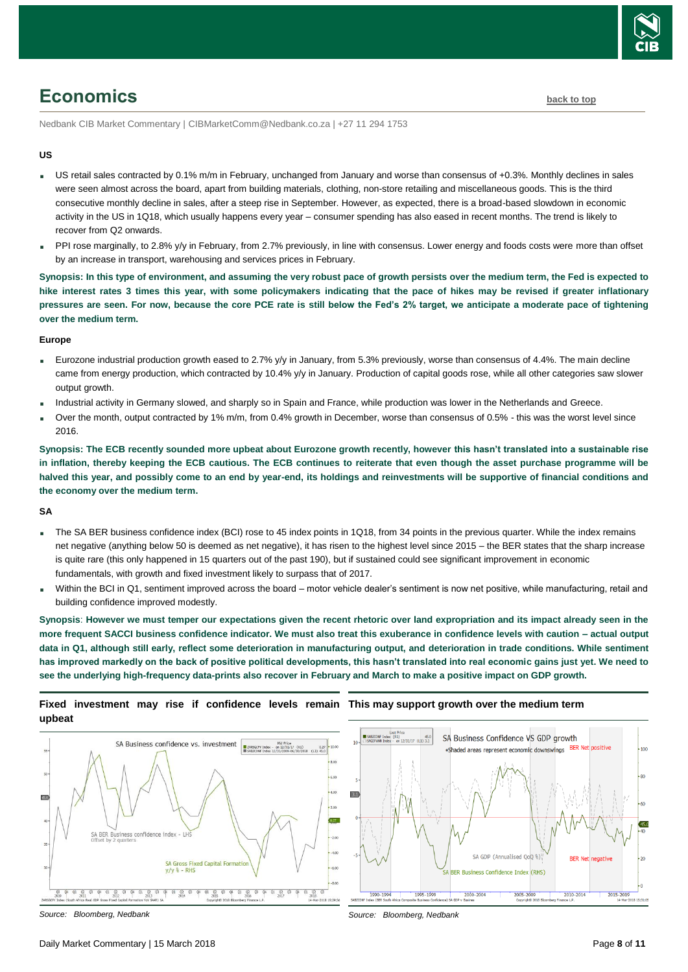

# <span id="page-7-0"></span>**Economics [back to top](#page-0-0)**

Nedbank CIB Market Commentary | CIBMarketComm@Nedbank.co.za | +27 11 294 1753

#### **US**

- US retail sales contracted by 0.1% m/m in February, unchanged from January and worse than consensus of +0.3%. Monthly declines in sales were seen almost across the board, apart from building materials, clothing, non-store retailing and miscellaneous goods. This is the third consecutive monthly decline in sales, after a steep rise in September. However, as expected, there is a broad-based slowdown in economic activity in the US in 1Q18, which usually happens every year – consumer spending has also eased in recent months. The trend is likely to recover from Q2 onwards.
- PPI rose marginally, to 2.8% y/y in February, from 2.7% previously, in line with consensus. Lower energy and foods costs were more than offset by an increase in transport, warehousing and services prices in February.

**Synopsis: In this type of environment, and assuming the very robust pace of growth persists over the medium term, the Fed is expected to hike interest rates 3 times this year, with some policymakers indicating that the pace of hikes may be revised if greater inflationary pressures are seen. For now, because the core PCE rate is still below the Fed's 2% target, we anticipate a moderate pace of tightening over the medium term.**

#### **Europe**

- Eurozone industrial production growth eased to 2.7% y/y in January, from 5.3% previously, worse than consensus of 4.4%. The main decline came from energy production, which contracted by 10.4% y/y in January. Production of capital goods rose, while all other categories saw slower output growth.
- Industrial activity in Germany slowed, and sharply so in Spain and France, while production was lower in the Netherlands and Greece.
- Over the month, output contracted by 1% m/m, from 0.4% growth in December, worse than consensus of 0.5% this was the worst level since 2016.

**Synopsis: The ECB recently sounded more upbeat about Eurozone growth recently, however this hasn't translated into a sustainable rise in inflation, thereby keeping the ECB cautious. The ECB continues to reiterate that even though the asset purchase programme will be halved this year, and possibly come to an end by year-end, its holdings and reinvestments will be supportive of financial conditions and the economy over the medium term.**

#### **SA**

- The SA BER business confidence index (BCI) rose to 45 index points in 1Q18, from 34 points in the previous quarter. While the index remains net negative (anything below 50 is deemed as net negative), it has risen to the highest level since 2015 – the BER states that the sharp increase is quite rare (this only happened in 15 quarters out of the past 190), but if sustained could see significant improvement in economic fundamentals, with growth and fixed investment likely to surpass that of 2017.
- Within the BCI in Q1, sentiment improved across the board motor vehicle dealer's sentiment is now net positive, while manufacturing, retail and building confidence improved modestly.

**Synopsis**: **However we must temper our expectations given the recent rhetoric over land expropriation and its impact already seen in the more frequent SACCI business confidence indicator. We must also treat this exuberance in confidence levels with caution – actual output data in Q1, although still early, reflect some deterioration in manufacturing output, and deterioration in trade conditions. While sentiment has improved markedly on the back of positive political developments, this hasn't translated into real economic gains just yet. We need to see the underlying high-frequency data-prints also recover in February and March to make a positive impact on GDP growth.**

#### **Fixed investment may rise if confidence levels remain This may support growth over the medium term upbeat**



#### *Source: Bloomberg, Nedbank*



*Source: Bloomberg, Nedbank*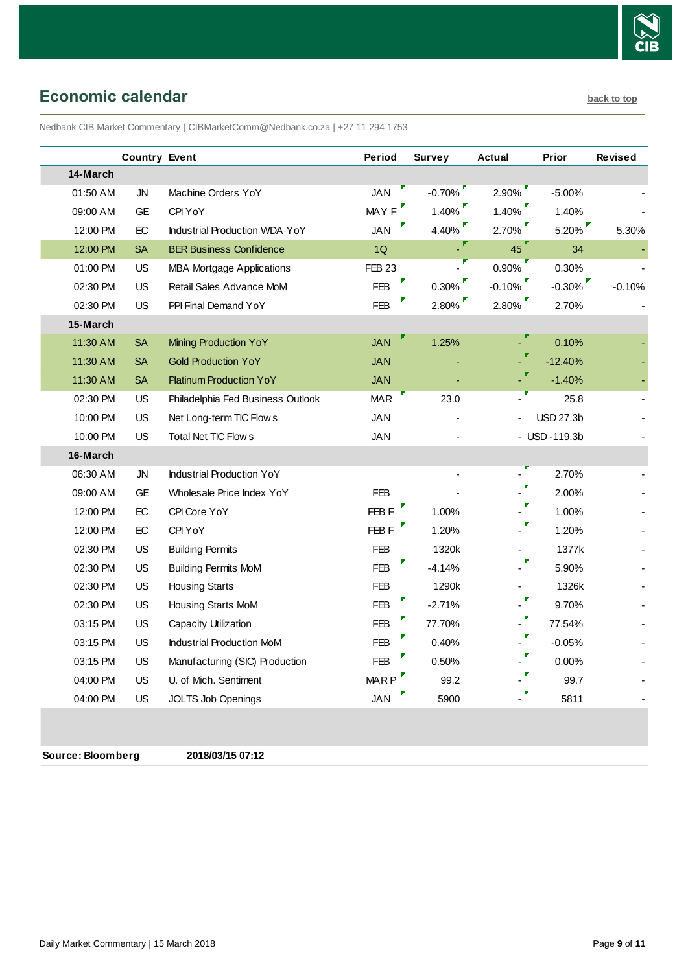

# <span id="page-8-0"></span>**Economic calendar [back to top](#page-0-0) back to top**

Nedbank CIB Market Commentary | CIBMarketComm@Nedbank.co.za | +27 11 294 1753

|          | <b>Country Event</b> |                                      | Period           | <b>Survey</b> | <b>Actual</b> | Prior            | <b>Revised</b> |
|----------|----------------------|--------------------------------------|------------------|---------------|---------------|------------------|----------------|
| 14-March |                      |                                      |                  |               |               |                  |                |
| 01:50 AM | <b>JN</b>            | Machine Orders YoY                   | <b>JAN</b>       | $-0.70%$      | 2.90%         | $-5.00%$         |                |
| 09:00 AM | <b>GE</b>            | CPI YoY                              | MAY F            | $1.40\%$      | 1.40%         | 1.40%            |                |
| 12:00 PM | $\mathsf{EC}$        | <b>Industrial Production WDA YoY</b> | <b>JAN</b>       | 4.40%         | 2.70%         | $5.20\%$         | 5.30%          |
| 12:00 PM | <b>SA</b>            | <b>BER Business Confidence</b>       | 1Q               |               | 45            | 34               |                |
| 01:00 PM | <b>US</b>            | <b>MBA Mortgage Applications</b>     | <b>FEB 23</b>    |               | 0.90%         | 0.30%            |                |
| 02:30 PM | <b>US</b>            | Retail Sales Advance MoM             | <b>FEB</b>       | $0.30\%$      | $-0.10%$      | $-0.30\%$        | $-0.10%$       |
| 02:30 PM | US                   | PPI Final Demand YoY                 | <b>FEB</b>       | $2.80\%$      | 2.80%         | 2.70%            |                |
| 15-March |                      |                                      |                  |               |               |                  |                |
| 11:30 AM | <b>SA</b>            | Mining Production YoY                | <b>JAN</b>       | 1.25%         |               | 0.10%            |                |
| 11:30 AM | SA                   | <b>Gold Production YoY</b>           | <b>JAN</b>       |               |               | $-12.40%$        |                |
| 11:30 AM | <b>SA</b>            | <b>Platinum Production YoY</b>       | <b>JAN</b>       |               |               | $-1.40%$         |                |
| 02:30 PM | US                   | Philadelphia Fed Business Outlook    | <b>MAR</b>       | 23.0          |               | 25.8             |                |
| 10:00 PM | <b>US</b>            | Net Long-term TIC Flow s             | <b>JAN</b>       |               |               | <b>USD 27.3b</b> |                |
| 10:00 PM | US                   | Total Net TIC Flow s                 | <b>JAN</b>       |               |               | - USD-119.3b     |                |
| 16-March |                      |                                      |                  |               |               |                  |                |
| 06:30 AM | JN                   | <b>Industrial Production YoY</b>     |                  |               |               | 2.70%            |                |
| 09:00 AM | <b>GE</b>            | Wholesale Price Index YoY            | <b>FEB</b>       |               |               | 2.00%            |                |
| 12:00 PM | EC                   | CPI Core YoY                         | FEB <sub>F</sub> | 1.00%         |               | 1.00%            |                |
| 12:00 PM | EC                   | CPI YoY                              | FEB F            | 1.20%         |               | 1.20%            |                |
| 02:30 PM | US                   | <b>Building Permits</b>              | <b>FEB</b>       | 1320k         |               | 1377k            |                |
| 02:30 PM | <b>US</b>            | <b>Building Permits MoM</b>          | <b>FEB</b>       | $-4.14%$      |               | 5.90%            |                |
| 02:30 PM | US.                  | <b>Housing Starts</b>                | <b>FEB</b>       | 1290k         |               | 1326k            |                |
| 02:30 PM | US                   | Housing Starts MoM                   | <b>FEB</b>       | $-2.71%$      |               | 9.70%            |                |
| 03:15 PM | US                   | Capacity Utilization                 | FEB              | 77.70%        |               | 77.54%           |                |
| 03:15 PM | US                   | <b>Industrial Production MoM</b>     | <b>FEB</b>       | 0.40%         |               | $-0.05%$         |                |
| 03:15 PM | US                   | Manufacturing (SIC) Production       | <b>FEB</b>       | 0.50%         |               | 0.00%            |                |
| 04:00 PM | <b>US</b>            | U. of Mich. Sentiment                | MARP <sup></sup> | 99.2          |               | 99.7             |                |
| 04:00 PM | US                   | JOLTS Job Openings                   | <b>JAN</b>       | 5900          |               | 5811             |                |
|          |                      |                                      |                  |               |               |                  |                |

**Source: Bloomberg 2018/03/15 07:12**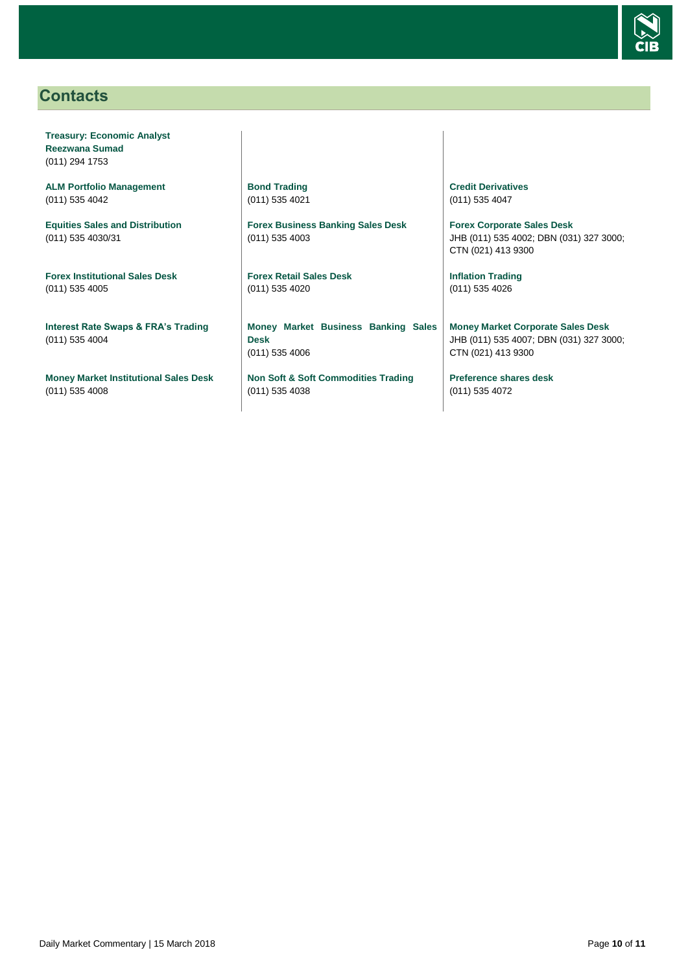

# <span id="page-9-0"></span>**Contacts**

**Treasury: Economic Analyst Reezwana Sumad** (011) 294 1753

**ALM Portfolio Management** (011) 535 4042

**Equities Sales and Distribution** (011) 535 4030/31

**Forex Institutional Sales Desk** (011) 535 4005

**Interest Rate Swaps & FRA's Trading** (011) 535 4004

**Money Market Institutional Sales Desk** (011) 535 4008

**Bond Trading** (011) 535 4021

**Forex Business Banking Sales Desk** (011) 535 4003

**Forex Retail Sales Desk** (011) 535 4020

**Money Market Business Banking Sales Desk** (011) 535 4006

**Non Soft & Soft Commodities Trading** (011) 535 4038

**Credit Derivatives**  (011) 535 4047

**Forex Corporate Sales Desk** JHB (011) 535 4002; DBN (031) 327 3000; CTN (021) 413 9300

**Inflation Trading** (011) 535 4026

**Money Market Corporate Sales Desk** JHB (011) 535 4007; DBN (031) 327 3000; CTN (021) 413 9300

**Preference shares desk** (011) 535 4072